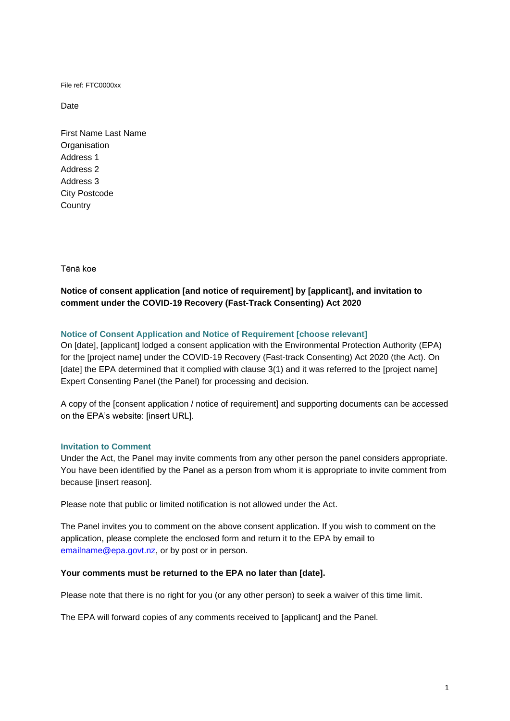File ref: FTC0000xx

Date

First Name Last Name **Organisation** Address 1 Address 2 Address 3 City Postcode **Country** 

Tēnā koe

# **Notice of consent application [and notice of requirement] by [applicant], and invitation to comment under the COVID-19 Recovery (Fast-Track Consenting) Act 2020**

## **Notice of Consent Application and Notice of Requirement [choose relevant]**

On [date], [applicant] lodged a consent application with the Environmental Protection Authority (EPA) for the [project name] under the COVID-19 Recovery (Fast-track Consenting) Act 2020 (the Act). On [date] the EPA determined that it complied with clause 3(1) and it was referred to the [project name] Expert Consenting Panel (the Panel) for processing and decision.

A copy of the [consent application / notice of requirement] and supporting documents can be accessed on the EPA's website: [insert URL].

## **Invitation to Comment**

Under the Act, the Panel may invite comments from any other person the panel considers appropriate. You have been identified by the Panel as a person from whom it is appropriate to invite comment from because [insert reason].

Please note that public or limited notification is not allowed under the Act.

The Panel invites you to comment on the above consent application. If you wish to comment on the application, please complete the enclosed form and return it to the EPA by email to [emailname@epa.govt.nz,](mailto:emailname@epa.govt.nz) or by post or in person.

#### **Your comments must be returned to the EPA no later than [date].**

Please note that there is no right for you (or any other person) to seek a waiver of this time limit.

The EPA will forward copies of any comments received to [applicant] and the Panel.